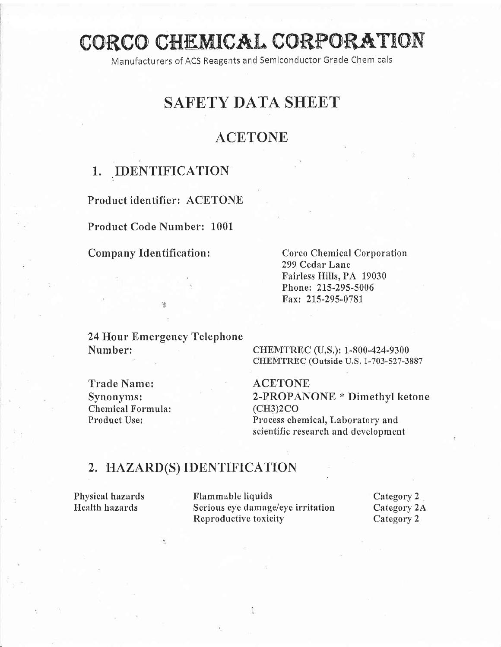# CORCO CHEMICAL CORPORATION

Manufacturers of ACS Reagents and Semiconductor Grade Chemicals

## SAFETY DATA SHEET

### **ACETONE**

### 1. IDENTIFICATION

Product identifier: ACETONE

Product Code Number: 1001

#### Company Identification: Corco Chemical Corporation

299 Cedar Lane Fairless Hills, PA 19030 Phoner 215-295-5006 Fax: 215-295-0781

24 Hour Emergency Telephone Number: CHEMTREC (U.S.): 1-800-424-9300

۰,

CHEMTREC (Outside U.S, 1-703-527-3887

Trade Name: <br>Synonyms: <br>2-PROPAN Chemical Formula:

2-PROPANONE \* Dimethyl ketone<br>(CH3)2CO Product Use: Process chemical, Laboratory and scientific research and development

#### 2. HAZARD(S) IDENTIFICATION

Physical hazards Flammable liquids Category 2 Health hazards Serious eye damage/eye irritation Category 2A Reproductive toxicity Category 2

1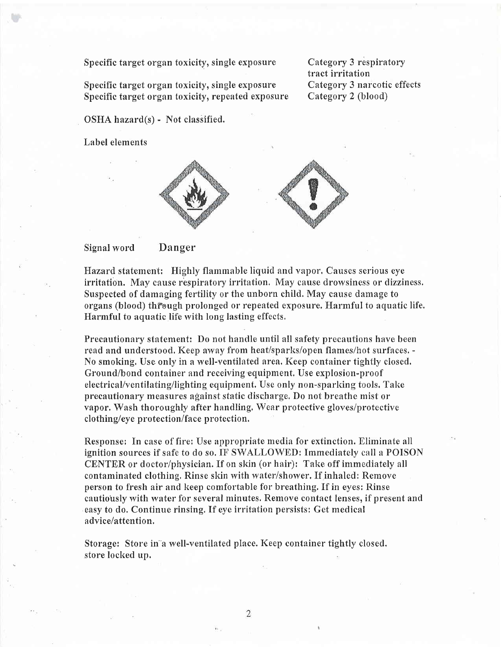Specific target organ toxicity, single exposure

Specific target organ toxicity, single exposure Specific target organ toxicify, repeated exposure Category 3 respiratory tract irritation Category 3 narcotic effects Category 2 (blood)

OSHA hazard(s) - Not classified.

Label elements



Signal word Danger

Hazard statement: Highly flammable liquid and vapor, Causes serious eye irritation. May cause respiratory irritation. May cause drowsiness or dizziness. Suspected of damaging fertility or the unborn child. May cause damage to organs (blood) through prolonged or repeated exposure. Harmful to aquatic life. Harmful to aquatic life with long lasting effects,

Precautionary statement: Do not handle until all safety precautions have been read and understood, Keep away from heat/sparks/open flames/hot surfaces. -No smoking, Use only in a well-ventilated area, Keep container tightly closed, Ground/bond container and receiving equipment. Use explosion-proof electrical/ventilating/lighting equipment. Use only non-sparking tools. Take precautionary measures against static discharge, Do not breathe mist or vapor. Wash thoroughly after handling, Wear protective gloves/protective clothing/eye protection/face protection,

Responsel In case of fire: Use appropriate media for extinction. Eliminate all ignition sources if safe to do so. IF SWALLOWED: Immediately call a POISON CENTER or doctor/physician. If on skin (or hair): Take off immediately all contaminated clothing. Rinse skin with water/shower. If inhaled: Remove person to fresh air and keep comfortable for breathing. If in eyes: Rinse cautiously with water for several minutes. Remove contact lenses, if present and easy to do. Continue rinsing, If eye irritation persists: Get medical advice/attention,

Storage: Store in"a well-ventilated place. Keep container tightly closed. store locked up.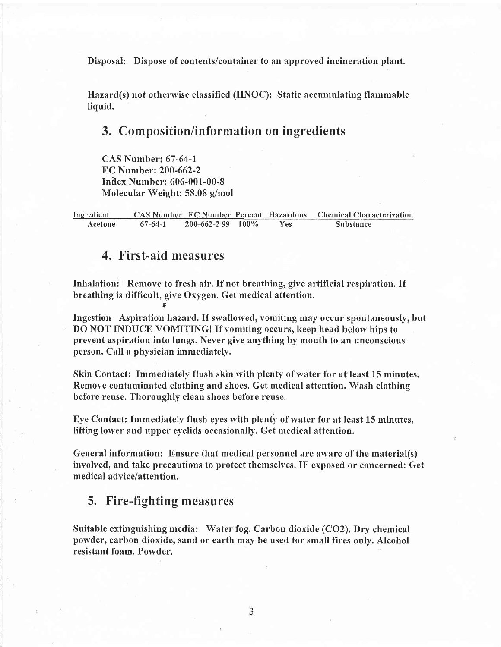Disposal: Dispose of contents/container to an approved incineration plant.

Hazard(s) not otherwise classified (HNOC): Static accumulating flammable liquid.

#### 3. Composition/information on ingredients

CAS Number:67-64-l  $EC$  Number: 200-662-2 Inllex Number: 606-001-00-8 Molecular Weight: 58.08 g/mol

Ingredient CAS Number EC Number Percent Hazardous Chemical Characterization<br>Acetone 67-64-1 200-662-2 99 100% Yes Substance 200-662-2 99 100%

#### 4. First-aid measures

F

Inhalation: Remove to fresh air. If not breathing, give artificial respiration. If breathing is difficult, give Oxygen. Get medical attention.

Ingestion Aspiration hazard. If swallowed, vomiting may occur spontaneously, but DO NOT INDUCE VOMITING! If vomiting occurs, keep head below hips to prevent aspiration into lungs. Never give anything by mouth to an unconscious person. Call a physician immediately.

Skin Contact: Immediately flush skin with plenty of water for at least 15 minutes. Remove contaminated clothing and shoes. Get medical attention. Wash clothing before reuse. Thoroughly clean shoes before reuse.

Eye Contact: Immediately flush eyes with plenty of water for at least 15 minutes, lifting lower and upper eyelids occasionally. Get medical attention.

General information: Ensure that medical personnel are aware of the material(s) involved, and take precautions to protect themselves. IF exposed or concerned: Get medical advice/attention.

#### 5. Fire-fighting measures

.

Suitable extinguishing media: Water fog. Carbon dioxide (CO2). Dry chemical powder, carbon dioxide, sand or earth may be used for small fires only. Alcohol resistant foam. Powder.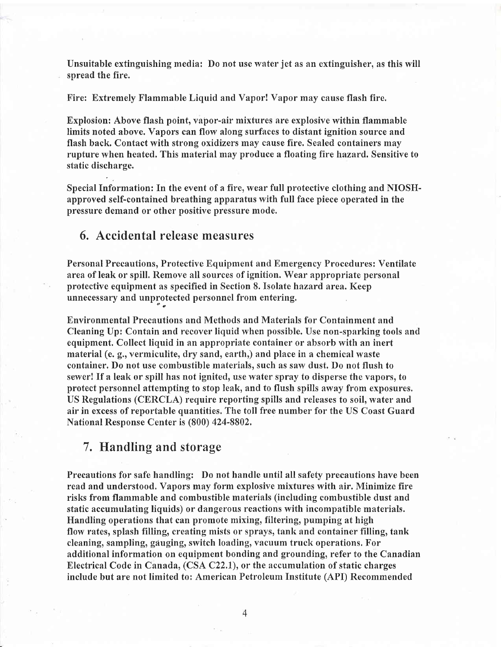Unsuitable extinguishing media: Do not use water jet as an extinguisher, as this will spread the fire.

F'ire: Extremely Flammable Liquid and Vapor! Vapor may cause flash fire.

Explosion: Above flash point, vapor-air mixtures are explosive within flammable limits noted above. Vapors can flow along surfaces to distant ignition source and flash back. Contact with strong oxidizers may cause fire. Sealed containers may rupture when heated. This material may produce a floating fire hazard. Sensitive to static discharge.

Special Information: In the event of a fire, wear full protective clothing and NIOSHapproved self-contained breathing apparatus with full face piece operated in the pressure demand or other positive pressure mode.

#### 6, Accidental release measures

Personal Precautions, Protective Equipment and Emergency Procedures: Ventilate area of leak or spill. Remove all sources of ignition. Wear appropriate personal protective equipment as specified in Section 8. Isolate hazard area. Keep unnecessary and unprotected personnel from entering.

Environmental Precautions and Methods and Materials for Containment and Cleaning Up: Contain and recover liquid when possible. Use non-sparking tools and equipment. Collect liquid in an appropriate container or absorb with an inert material (e. g., vermiculite, dry sand, earth,) and place in a chemical waste container. Do not use combustible materials, such as saw dust. Do not flush to sewer! If a leak or spill has not ignited, use water spray to disperse the vapors, to protect personnel attempting to stop leak, and to flush spills away from exposures, US Regulations (CERCLA) require reporting spills and releases to soil, water and air in excess of reportable quantities, The toll free number for the US Coast Guard National Response Center is (800) 424-8802,

#### 7. Handling and storage

Precautions for safe handling: Do not handle until all safety precautions have been read and understood. Vapors may form explosive mixtures with air. Minimize fire risks from flammable and combustible materials (including combustible dust and static accumulating liquids) or dangerous reactions with incompatible materials. Handling operations that can promote mixing, filtering, pumping at high flow rates, splash filling, creating mists or sprays, tank and container filling, tank cleaning, sampling, gauging, switch loading, vacuum truck operations. For additional information on equipment bonding and grounding, refer to the Canadian Electrical Code in Canada, (CSA C22.1), or the accumulation of static charges include but are not limited to: American Petroleum Institute (API) Recommended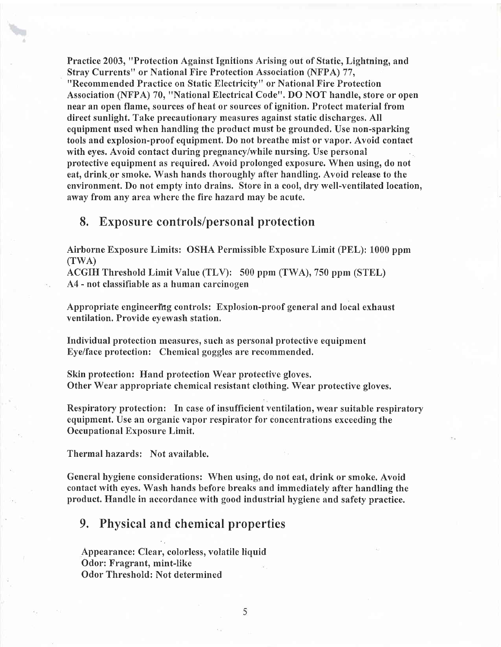Practice 2003, "Protection Against Ignitions Arising out of Static, Lightning, and Stray Currents" or National Fire Protection Association (NFPA) 77, "Recommended Practice on Static Electricity" or National Fire Protection Association (NFPA) 70, "National Electrical Code". DO NOT handle, store or open near an open flame, sources of heat or sources of ignition. Protect material from direct sunlight. Take precautionary measures against static discharges. All equipment used when handling the product must be grounded. Use non-sparking tools and explosion-proof equipment. Do not breathe mist or vapor. Avoid contact with eyes. Avoid contact during pregnancy/while nursing, Use personal protective equipment as required. Avoid prolonged exposure. When using, do not eat, drink or smoke. Wash hands thoroughly after handling. Avoid release to the environment. Do not empty into drains. Store in a cool, dry well-ventilated location, away from any area where the fire hazard may be acute.

#### 8. Exposure controls/personal protection

Airborne Exposure Limits: OSHA Permissible Exposure Limit (PEL): 1000 ppm  $(TWA)$ 

ACGIH Threshold Limit Value (TLV): 500 ppm (TWA), 750 ppm (STEL) A4 - not classifiable as a human carcinogen

Appropriate engineering controls: Explosion-proof general and local exhaust ventilation. Provide eyewash station,

Individual protection measures, such as personal protective equipment Eye/face protection: Chemical goggles are recommended.

Skin protection: Hand protection Wear protective gloves. Other Wear appropriate chemical resistant clothing. Wear protective gloves.

Respiratory protection: In case of insufficient ventilation, wear suitable respiratory equipment. Use an organic vapor respirator for concentrations exceeding the Occupational Exposure Limit.

Thermal hazards: Not available.

General hygiene considerations: When using, do not eat, drink or smoke. Avoid contact with eyes. Wash hands before breaks and immediately after handling the product. Handle in accordance with good industrial hygiene and safety practice.

#### 9. Physical and chemical properties

Appearance: Clear, colorless, volatile liquid Odor: Fragrant, mint-like Odor Threshold: Not determined

5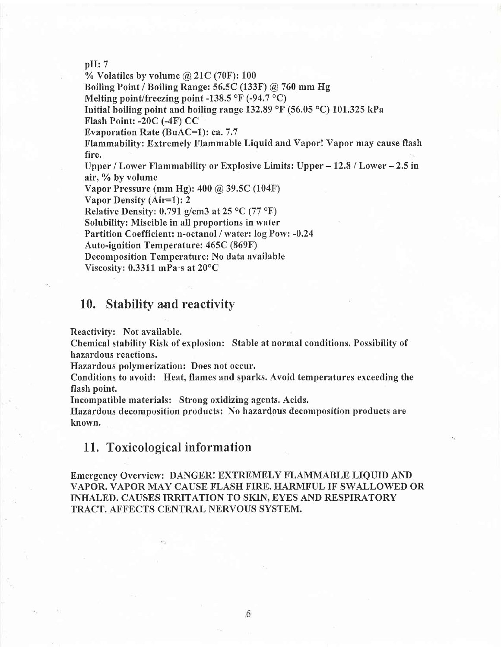#### pH:7

% Volatiles by volume  $@21C(70F):100$ 

Boiling Point / Boiling Range: 56.5C (133F) @ 760 mm FIg

Melting point/freezing point -138.5  $\mathrm{^{\circ}F}$  (-94.7  $\mathrm{^{\circ}C}$ )

Initial boiling point and boiling range 132.89  $\rm{^{\circ}F}$  (56.05  $\rm{^{\circ}C}$ ) 101.325 kPa

Flash Point: -20C (-4F) CC

Evaporation Rate (BuAC=1): ca. 7.7

Flammability: Extremely Flammable Liquid and Vapor! Vapor may cause flash fire.

Upper / Lower Flammability or Explosive Limits: Upper  $-12.8$  / Lower  $-2.5$  in air, % by volume

Vapor Pressure (mm Hg): 400 @ 39.5C (104F)

Vapor Density (Air=l): <sup>2</sup>

Relative Density: 0.791 g/cm3 at  $25 \text{ °C}$  (77  $\text{ °F}$ )

Solubilify: Miscible in all proportions in water

Partition Coefficient: n-octanol / water: log Pow: -0.24

Auto-ignition Temperature: 465C (869F)

Decomposition Temperature: No data available

Viscosity:  $0.3311$  mPa $\cdot$ s at  $20^{\circ}$ C

#### 10. Stability and reactivity

Reactivity: Not available.

Chemical stability Rish of explosion: Stable at normal conditions. Possibility of hazardous reactions.

Hazardous polymerization: Does not occur.

Conditions to avoid: Heat, flames and sparks. Avoid temperatures exceeding the flash point.

Incompatible materials: Strong oxidizing agents. Acids.

Hazardous decomposition products: No hazardous decomposition products are known.

#### <sup>L</sup>1. Toxicological information

Emergency Overview: DANGER! EXTREMELY FLAMMABLE LIQUID AND VAPOR. VAPOR MAY CAUSE FLASH FIRE. HARMFUL IF SWALLOWED OR INHALED. CAUSES IRRITATION TO SKIN, EYES AND RESPIRATORY TRACT. AFFECTS CENTRAL NERVOUS SYSTEM.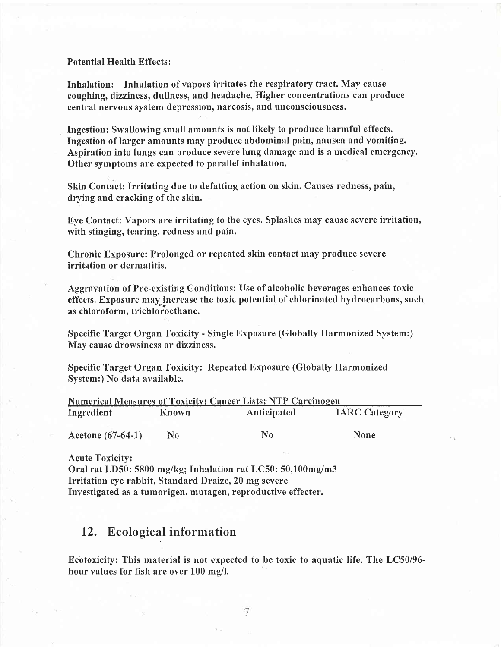Potential Health Effects :

Inhalation: Inhalation of vapors irritates the respiratory tract, May cause coughing, dizziness, dullness, and headache. Higher concentrations can produce central nervous system depression, narcosis, and unconsciousness,

Ingestion: Swallowing small amounts is not likely to produce harmful effects. Ingestion of larger amounts may produce abdominal pain, nausea and vomiting. Aspiration into lungs can produce severe lung damage and is a medical emergeney. Other symptoms are expected to parallel inhalation,

Skin Contact: Irritating due to defatting action on skin. Causes redness, pain, drying and cracking of the skin.

Eye Contact: Vapors are irritating to the eyes, Splashes may cause severe irritation, with stinging, tearing, redness and pain.

Chronic Exposure: Prolonged or repeated skin contact may produce severe irritation or dermatitis.

Aggravation of Pre-existing Conditions: Use of alcoholic beverages enhances toxic effects. Exposure may increase the toxic potential of chlorinated hydrocarbons, such as chloroform, trichloroethane.

Specific Target Organ Toxicify - Single Exposure (Globally Harmonized System:) May cause drowsiness or dizziness.

Specific Target Organ Toxicity: Repeated Exposure (Globally Harmonized System:) No data available.

| <b>Numerical Measures of Toxicity: Cancer Lists: NTP Carcinogen</b> |       |             |                      |  |  |
|---------------------------------------------------------------------|-------|-------------|----------------------|--|--|
| Ingredient                                                          | Known | Anticipated | <b>IARC Category</b> |  |  |
|                                                                     |       |             |                      |  |  |
| Acetone $(67-64-1)$                                                 | No    | N٥          | <b>None</b>          |  |  |

Acute Toxicity:

Oral rat LD50: 5800 mg/kg; Inhalation rat LC50: 50,100mg/m3 Irritation eye rabbit, Standard Draize, 20 mg severe Investigated as a tumorigen, mutagen, reproductive effecter.

#### 12. Ecological information

Ecotoxicify: This material is not expected to be toxic to aquatic life. The LC50/96 hour values for fish are over 100 mg/I.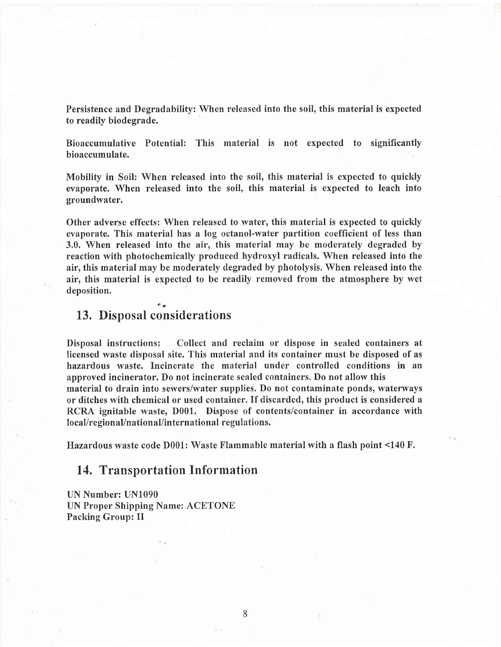Persistence and Degradability: When released into the soil, this material is expected to readily biodegrade.

Bioaccumulative Potential: This material is not expected to significantly bioaccumulate.

Mobility in Soil: When released into the soil, this material is expected to quickly evaporate. When released into the soil, this material is expected to leach into groundwater.

Other adverse effects: When released to water, this material is expected to quickly evaporate. This material has a log octanol-water partition coefficient of less than 3.0. When released into the air, this material may be moderately degraded by reaction with photochemically produced hydroxyl radicals. When released into the air, this material may be moderately degraded by photolysis, When released into the air, this material is expected to be readily removed from the atmosphere by wet deposition.

#### 13. Disposal considerations

Disposal instructions: Collect and reclaim or dispose in sealed containers at licensed waste disposal site. This material and its container must be disposed of as hazardous waste. Incinerate the material under controlled conditions in an approved incinerator. Do not incinerate sealed containers. Do not allow this material to drain into sewers/water supplies. Do not contaminate ponds, waterways or ditches with chemical or used container. If discarded, this product is considered <sup>a</sup> RCRA ignitable waste, D001. Dispose of contents/container in accordance with local/regional/national/international regulations.

Hazardous waste code D001: Waste Flammable material with a flash point <140 F.

8

#### 14. Transportation Information

UN Number: UN1090 UN Proper Shipping Name: ACETONE Packing Group: II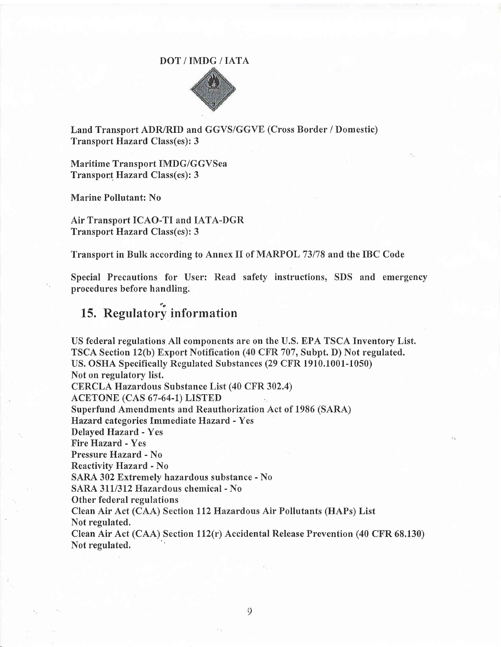#### DOT/IMDG/IATA



Land Transport ADR/RID and GGVS/GGVE (Cross Border / Domestic) Transport Hazard Class(es): 3

Maritime Transport IMDG/GGVSea Transport Hazard Class(es): 3

Marine Pollutant: No

Air Transport ICAO-TI and IATA-DGR Transport Hazard Class(es): 3

Transport in Bulk according to Annex II of MARPOL 73178 and the IBC Code

Special Precautions for User: Read safety instructions, SDS and emergency procedures before handling.

## 15. Regulatory information

US federal regulations All components are on the U.S. EPA TSCA Inventory List. TSCA Section 12(b) Export Notification (40 CFR 707, Subpt. D) Not regulated. US, OSHA Specifically Regulated Substances (29 CFR 1910,1001-1050) Not on regulatory list. CERCLA Hazardous Substance List (40 CFR 302.4) ACETONE (CAS 67-64-1) LISTED Superfund Amendments and Reauthorization Act of 1986 (SARA) Hazard, categories Immediate Hazard - Yes Delayed Hazard. - Yes Fire Hazard - Yes Pressure Hazard - No Reactivity Hazard - No SARA 302 Extremely hazardous substance - No SARA 311/312 Hazardous chemical - No Other federal regulations Clean Air Act (CAA) Section ll2Hazardous Air Pollutants (HAPs) List Not regulated. Clean Air Act (CAA) Section 112(r) Accidental Release Prevention (40 CFR 68.130) Not regulated.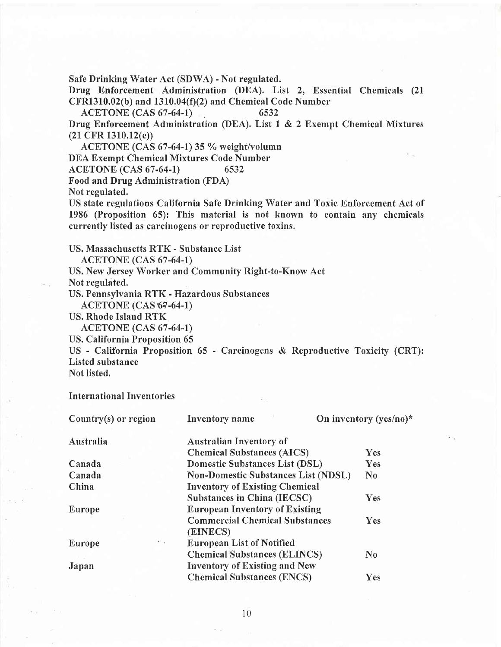Safe Drinking Water Act (SDWA) - Not regulated.

Drug Enforcement Administration (DEA). List 2, Essential Chemicals (21  $CFR1310.02(b)$  and  $1310.04(f)(2)$  and Chemical Code Number

ACETONE (CAS 67-64-1) 6532

Drug Enforcement Administration (DEA). List 1 & 2 Exempt Chemical Mixtures (21 CFR 1310,12(c))

ACETONE (CAS  $67-64-1$ ) 35 % weight/volumn

DEA Exempt Chemical Mixtures Code Number

ACETONE (CAS 67-64-1) 6532

Food and Drug Administration (FDA)

Not regulated.

US state regulations California Safe Drinking Water and Toxic Enforcement Act of 1986 (Proposition 65): This material is not known to contain any chemicals currently listed as carcinogens or reproductive toxins.

US. Massachusetts RTK - Substance List

ACETONE (CAS 67 -64-L)

US, New Jersey Worker and Community Right-to-Know Act

Not regulated.

US. Pennsylvania RTK - Hazardous Substances

ACETONE (CAS 67-64-1)

US. Rhode Island RTK

**ACETONE** (CAS 67-64-1)

US. California Proposition 65

US - California Proposition 65 - Carcinogens & Reproductive Toxicity (CRT): Listed substance

Not listed.

International Inventories

| Country $(s)$ or region | Inventory name                             | On inventory (yes/no)* |  |  |
|-------------------------|--------------------------------------------|------------------------|--|--|
| Australia               | <b>Australian Inventory of</b>             |                        |  |  |
|                         | <b>Chemical Substances (AICS)</b>          | <b>Yes</b>             |  |  |
| Canada                  | <b>Domestic Substances List (DSL)</b>      | Yes                    |  |  |
| Canada                  | <b>Non-Domestic Substances List (NDSL)</b> | $\bf{N}$               |  |  |
| China                   | <b>Inventory of Existing Chemical</b>      |                        |  |  |
|                         | <b>Substances in China (IECSC)</b>         | <b>Yes</b>             |  |  |
| Europe                  | <b>European Inventory of Existing</b>      |                        |  |  |
|                         | <b>Commercial Chemical Substances</b>      | <b>Yes</b>             |  |  |
|                         | (EINECS)                                   |                        |  |  |
| <b>COL</b><br>Europe    | <b>European List of Notified</b>           |                        |  |  |
|                         | <b>Chemical Substances (ELINCS)</b>        | $\bf N_0$              |  |  |
| Japan                   | <b>Inventory of Existing and New</b>       |                        |  |  |
|                         | <b>Chemical Substances (ENCS)</b>          | Yes                    |  |  |